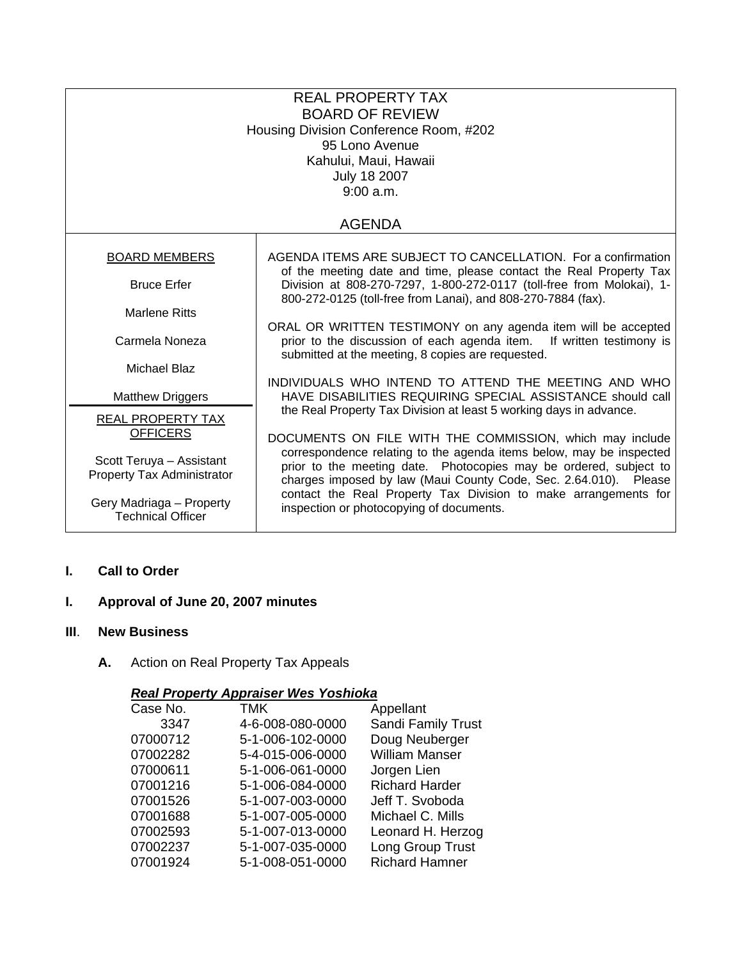| <b>REAL PROPERTY TAX</b><br><b>BOARD OF REVIEW</b><br>Housing Division Conference Room, #202<br>95 Lono Avenue<br>Kahului, Maui, Hawaii<br><b>July 18 2007</b><br>9:00 a.m. |                                                                                                                                                                                                              |  |  |  |
|-----------------------------------------------------------------------------------------------------------------------------------------------------------------------------|--------------------------------------------------------------------------------------------------------------------------------------------------------------------------------------------------------------|--|--|--|
| <b>AGENDA</b>                                                                                                                                                               |                                                                                                                                                                                                              |  |  |  |
| <b>BOARD MEMBERS</b>                                                                                                                                                        | AGENDA ITEMS ARE SUBJECT TO CANCELLATION. For a confirmation<br>of the meeting date and time, please contact the Real Property Tax                                                                           |  |  |  |
| <b>Bruce Erfer</b>                                                                                                                                                          | Division at 808-270-7297, 1-800-272-0117 (toll-free from Molokai), 1-<br>800-272-0125 (toll-free from Lanai), and 808-270-7884 (fax).                                                                        |  |  |  |
| <b>Marlene Ritts</b>                                                                                                                                                        |                                                                                                                                                                                                              |  |  |  |
| Carmela Noneza                                                                                                                                                              | ORAL OR WRITTEN TESTIMONY on any agenda item will be accepted<br>prior to the discussion of each agenda item. If written testimony is<br>submitted at the meeting, 8 copies are requested.                   |  |  |  |
| <b>Michael Blaz</b>                                                                                                                                                         | INDIVIDUALS WHO INTEND TO ATTEND THE MEETING AND WHO                                                                                                                                                         |  |  |  |
| <b>Matthew Driggers</b>                                                                                                                                                     | HAVE DISABILITIES REQUIRING SPECIAL ASSISTANCE should call                                                                                                                                                   |  |  |  |
| <b>REAL PROPERTY TAX</b><br><b>OFFICERS</b>                                                                                                                                 | the Real Property Tax Division at least 5 working days in advance.<br>DOCUMENTS ON FILE WITH THE COMMISSION, which may include                                                                               |  |  |  |
| Scott Teruya - Assistant<br>Property Tax Administrator                                                                                                                      | correspondence relating to the agenda items below, may be inspected<br>prior to the meeting date. Photocopies may be ordered, subject to<br>charges imposed by law (Maui County Code, Sec. 2.64.010). Please |  |  |  |
| Gery Madriaga - Property<br><b>Technical Officer</b>                                                                                                                        | contact the Real Property Tax Division to make arrangements for<br>inspection or photocopying of documents.                                                                                                  |  |  |  |

# **I. Call to Order**

# **I. Approval of June 20, 2007 minutes**

# **III**. **New Business**

**A.** Action on Real Property Tax Appeals

# *Real Property Appraiser Wes Yoshioka*

| Case No. | TMK              | Appellant             |
|----------|------------------|-----------------------|
| 3347     | 4-6-008-080-0000 | Sandi Family Trust    |
| 07000712 | 5-1-006-102-0000 | Doug Neuberger        |
| 07002282 | 5-4-015-006-0000 | <b>William Manser</b> |
| 07000611 | 5-1-006-061-0000 | Jorgen Lien           |
| 07001216 | 5-1-006-084-0000 | <b>Richard Harder</b> |
| 07001526 | 5-1-007-003-0000 | Jeff T. Svoboda       |
| 07001688 | 5-1-007-005-0000 | Michael C. Mills      |
| 07002593 | 5-1-007-013-0000 | Leonard H. Herzog     |
| 07002237 | 5-1-007-035-0000 | Long Group Trust      |
| 07001924 | 5-1-008-051-0000 | <b>Richard Hamner</b> |